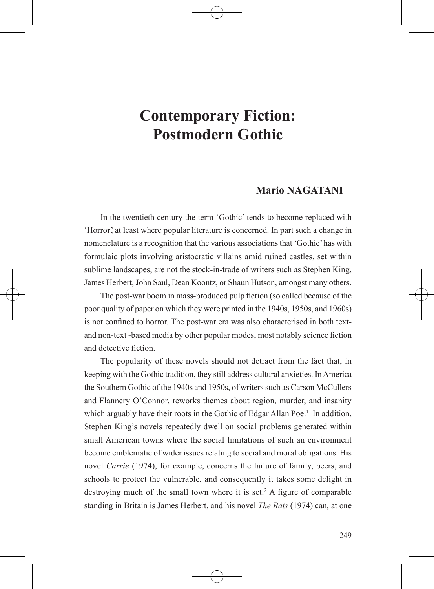## **Mario NAGATANI**

In the twentieth century the term 'Gothic' tends to become replaced with 'Horror', at least where popular literature is concerned. In part such a change in nomenclature is a recognition that the various associations that 'Gothic' has with formulaic plots involving aristocratic villains amid ruined castles, set within sublime landscapes, are not the stock-in-trade of writers such as Stephen King, James Herbert, John Saul, Dean Koontz, or Shaun Hutson, amongst many others.

The post-war boom in mass-produced pulp fiction (so called because of the poor quality of paper on which they were printed in the 1940s, 1950s, and 1960s) is not confined to horror. The post-war era was also characterised in both textand non-text -based media by other popular modes, most notably science fiction and detective fiction.

The popularity of these novels should not detract from the fact that, in keeping with the Gothic tradition, they still address cultural anxieties. In America the Southern Gothic of the 1940s and 1950s, of writers such as Carson McCullers and Flannery O'Connor, reworks themes about region, murder, and insanity which arguably have their roots in the Gothic of Edgar Allan Poe.<sup>1</sup> In addition, Stephen King's novels repeatedly dwell on social problems generated within small American towns where the social limitations of such an environment become emblematic of wider issues relating to social and moral obligations. His novel *Carrie* (1974), for example, concerns the failure of family, peers, and schools to protect the vulnerable, and consequently it takes some delight in destroying much of the small town where it is set.<sup>2</sup> A figure of comparable standing in Britain is James Herbert, and his novel *The Rats* (1974) can, at one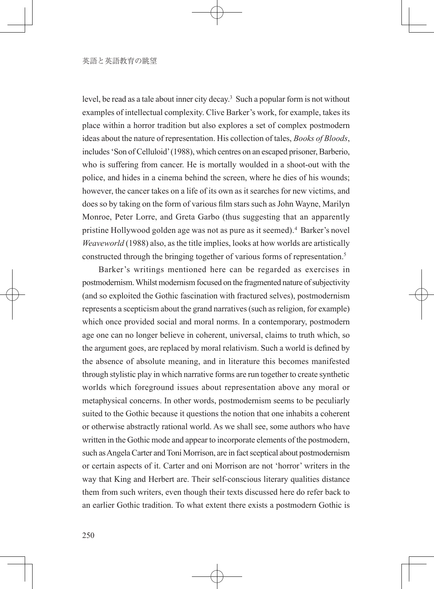level, be read as a tale about inner city decay.<sup>3</sup> Such a popular form is not without examples of intellectual complexity. Clive Barker's work, for example, takes its place within a horror tradition but also explores a set of complex postmodern ideas about the nature of representation. His collection of tales, *Books of Bloods*, includes 'Son of Celluloid' (1988), which centres on an escaped prisoner, Barberio, who is suffering from cancer. He is mortally woulded in a shoot-out with the police, and hides in a cinema behind the screen, where he dies of his wounds; however, the cancer takes on a life of its own as it searches for new victims, and does so by taking on the form of various film stars such as John Wayne, Marilyn Monroe, Peter Lorre, and Greta Garbo (thus suggesting that an apparently pristine Hollywood golden age was not as pure as it seemed).<sup>4</sup> Barker's novel *Weaveworld* (1988) also, as the title implies, looks at how worlds are artistically constructed through the bringing together of various forms of representation.<sup>5</sup>

Barker's writings mentioned here can be regarded as exercises in postmodernism. Whilst modernism focused on the fragmented nature of subjectivity (and so exploited the Gothic fascination with fractured selves), postmodernism represents a scepticism about the grand narratives (such as religion, for example) which once provided social and moral norms. In a contemporary, postmodern age one can no longer believe in coherent, universal, claims to truth which, so the argument goes, are replaced by moral relativism. Such a world is defined by the absence of absolute meaning, and in literature this becomes manifested through stylistic play in which narrative forms are run together to create synthetic worlds which foreground issues about representation above any moral or metaphysical concerns. In other words, postmodernism seems to be peculiarly suited to the Gothic because it questions the notion that one inhabits a coherent or otherwise abstractly rational world. As we shall see, some authors who have written in the Gothic mode and appear to incorporate elements of the postmodern, such as Angela Carter and Toni Morrison, are in fact sceptical about postmodernism or certain aspects of it. Carter and oni Morrison are not 'horror' writers in the way that King and Herbert are. Their self-conscious literary qualities distance them from such writers, even though their texts discussed here do refer back to an earlier Gothic tradition. To what extent there exists a postmodern Gothic is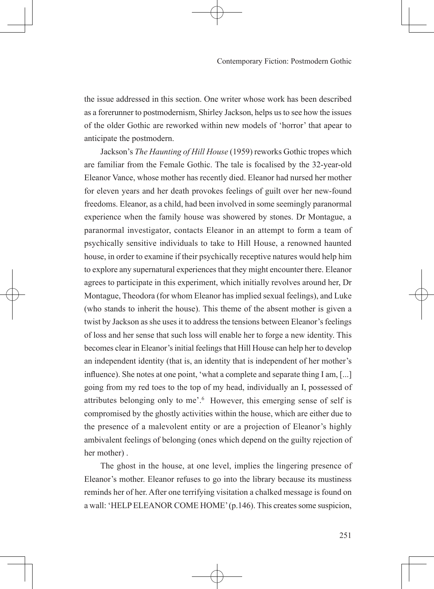the issue addressed in this section. One writer whose work has been described as a forerunner to postmodernism, Shirley Jackson, helps us to see how the issues of the older Gothic are reworked within new models of 'horror' that apear to anticipate the postmodern.

Jackson's *The Haunting of Hill House* (1959) reworks Gothic tropes which are familiar from the Female Gothic. The tale is focalised by the 32-year-old Eleanor Vance, whose mother has recently died. Eleanor had nursed her mother for eleven years and her death provokes feelings of guilt over her new-found freedoms. Eleanor, as a child, had been involved in some seemingly paranormal experience when the family house was showered by stones. Dr Montague, a paranormal investigator, contacts Eleanor in an attempt to form a team of psychically sensitive individuals to take to Hill House, a renowned haunted house, in order to examine if their psychically receptive natures would help him to explore any supernatural experiences that they might encounter there. Eleanor agrees to participate in this experiment, which initially revolves around her, Dr Montague, Theodora (for whom Eleanor has implied sexual feelings), and Luke (who stands to inherit the house). This theme of the absent mother is given a twist by Jackson as she uses it to address the tensions between Eleanor's feelings of loss and her sense that such loss will enable her to forge a new identity. This becomes clear in Eleanor's initial feelings that Hill House can help her to develop an independent identity (that is, an identity that is independent of her mother's influence). She notes at one point, 'what a complete and separate thing I am, [...] going from my red toes to the top of my head, individually an I, possessed of attributes belonging only to me'.6 However, this emerging sense of self is compromised by the ghostly activities within the house, which are either due to the presence of a malevolent entity or are a projection of Eleanor's highly ambivalent feelings of belonging (ones which depend on the guilty rejection of her mother) .

The ghost in the house, at one level, implies the lingering presence of Eleanor's mother. Eleanor refuses to go into the library because its mustiness reminds her of her. After one terrifying visitation a chalked message is found on a wall: 'HELP ELEANOR COME HOME' (p.146). This creates some suspicion,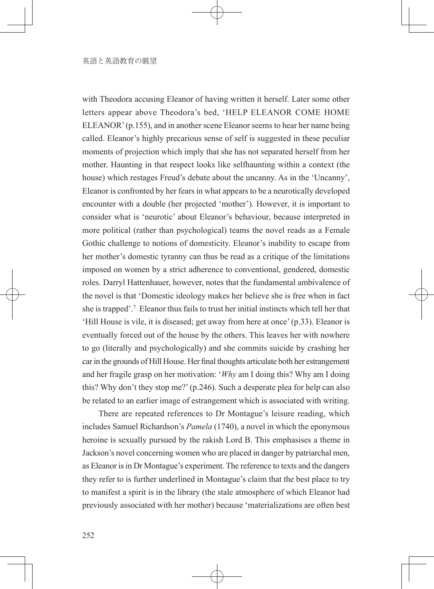#### 英語と英語教育の眺望

with Theodora accusing Eleanor of having written it herself. Later some other letters appear above Theodora's bed, 'HELP ELEANOR COME HOME ELEANOR' (p.155), and in another scene Eleanor seems to hear her name being called. Eleanor's highly precarious sense of self is suggested in these peculiar moments of projection which imply that she has not separated herself from her mother. Haunting in that respect looks like selfhaunting within a context (the house) which restages Freud's debate about the uncanny. As in the 'Uncanny', Eleanor is confronted by her fears in what appears to be a neurotically developed encounter with a double (her projected 'mother'). However, it is important to consider what is 'neurotic' about Eleanor's behaviour, because interpreted in more political (rather than psychological) teams the novel reads as a Female Gothic challenge to notions of domesticity. Eleanor's inability to escape from her mother's domestic tyranny can thus be read as a critique of the limitations imposed on women by a strict adherence to conventional, gendered, domestic roles. Darryl Hattenhauer, however, notes that the fundamental ambivalence of the novel is that 'Domestic ideology makes her believe she is free when in fact she is trapped'.7 Eleanor thus fails to trust her initial instincts which tell her that 'Hill House is vile, it is diseased; get away from here at once' (p.33). Eleanor is eventually forced out of the house by the others. This leaves her with nowhere to go (literally and psychologically) and she commits suicide by crashing her car in the grounds of Hill House. Her final thoughts articulate both her estrangement and her fragile grasp on her motivation: '*Why* am I doing this? Why am I doing this? Why don't they stop me?' (p.246). Such a desperate plea for help can also be related to an earlier image of estrangement which is associated with writing.

There are repeated references to Dr Montague's leisure reading, which includes Samuel Richardson's *Pamela* (1740), a novel in which the eponymous heroine is sexually pursued by the rakish Lord B. This emphasises a theme in Jackson's novel concerning women who are placed in danger by patriarchal men, as Eleanor is in Dr Montague's experiment. The reference to texts and the dangers they refer to is further underlined in Montague's claim that the best place to try to manifest a spirit is in the library (the stale atmosphere of which Eleanor had previously associated with her mother) because 'materializations are often best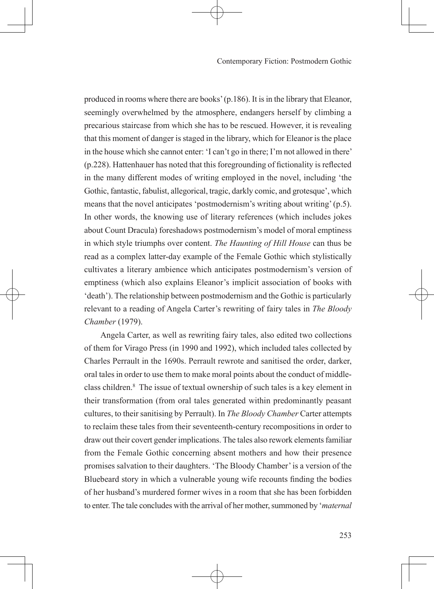produced in rooms where there are books' (p.186). It is in the library that Eleanor, seemingly overwhelmed by the atmosphere, endangers herself by climbing a precarious staircase from which she has to be rescued. However, it is revealing that this moment of danger is staged in the library, which for Eleanor is the place in the house which she cannot enter: 'I can't go in there; I'm not allowed in there' (p.228). Hattenhauer has noted that this foregrounding of fictionality is reflected in the many different modes of writing employed in the novel, including 'the Gothic, fantastic, fabulist, allegorical, tragic, darkly comic, and grotesque', which means that the novel anticipates 'postmodernism's writing about writing' (p.5). In other words, the knowing use of literary references (which includes jokes about Count Dracula) foreshadows postmodernism's model of moral emptiness in which style triumphs over content. *The Haunting of Hill House* can thus be read as a complex latter-day example of the Female Gothic which stylistically cultivates a literary ambience which anticipates postmodernism's version of emptiness (which also explains Eleanor's implicit association of books with 'death'). The relationship between postmodernism and the Gothic is particularly relevant to a reading of Angela Carter's rewriting of fairy tales in *The Bloody Chamber* (1979).

Angela Carter, as well as rewriting fairy tales, also edited two collections of them for Virago Press (in 1990 and 1992), which included tales collected by Charles Perrault in the 1690s. Perrault rewrote and sanitised the order, darker, oral tales in order to use them to make moral points about the conduct of middleclass children.<sup>8</sup> The issue of textual ownership of such tales is a key element in their transformation (from oral tales generated within predominantly peasant cultures, to their sanitising by Perrault). In *The Bloody Chamber* Carter attempts to reclaim these tales from their seventeenth-century recompositions in order to draw out their covert gender implications. The tales also rework elements familiar from the Female Gothic concerning absent mothers and how their presence promises salvation to their daughters. 'The Bloody Chamber' is a version of the Bluebeard story in which a vulnerable young wife recounts finding the bodies of her husband's murdered former wives in a room that she has been forbidden to enter. The tale concludes with the arrival of her mother, summoned by '*maternal*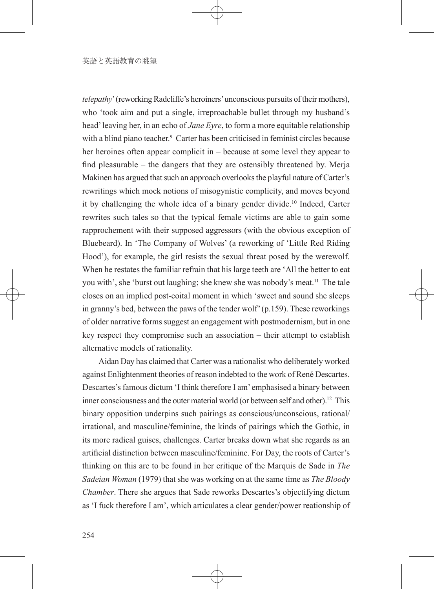*telepathy*' (reworking Radcliffe's heroiners' unconscious pursuits of their mothers), who 'took aim and put a single, irreproachable bullet through my husband's head' leaving her, in an echo of *Jane Eyre*, to form a more equitable relationship with a blind piano teacher.<sup>9</sup> Carter has been criticised in feminist circles because her heroines often appear complicit in – because at some level they appear to find pleasurable – the dangers that they are ostensibly threatened by. Merja Makinen has argued that such an approach overlooks the playful nature of Carter's rewritings which mock notions of misogynistic complicity, and moves beyond it by challenging the whole idea of a binary gender divide.<sup>10</sup> Indeed, Carter rewrites such tales so that the typical female victims are able to gain some rapprochement with their supposed aggressors (with the obvious exception of Bluebeard). In 'The Company of Wolves' (a reworking of 'Little Red Riding Hood'), for example, the girl resists the sexual threat posed by the werewolf. When he restates the familiar refrain that his large teeth are 'All the better to eat you with', she 'burst out laughing; she knew she was nobody's meat.11 The tale closes on an implied post-coital moment in which 'sweet and sound she sleeps in granny's bed, between the paws of the tender wolf' (p.159). These reworkings of older narrative forms suggest an engagement with postmodernism, but in one key respect they compromise such an association – their attempt to establish alternative models of rationality.

Aidan Day has claimed that Carter was a rationalist who deliberately worked against Enlightenment theories of reason indebted to the work of René Descartes. Descartes's famous dictum 'I think therefore I am' emphasised a binary between inner consciousness and the outer material world (or between self and other).<sup>12</sup> This binary opposition underpins such pairings as conscious/unconscious, rational/ irrational, and masculine/feminine, the kinds of pairings which the Gothic, in its more radical guises, challenges. Carter breaks down what she regards as an artificial distinction between masculine/feminine. For Day, the roots of Carter's thinking on this are to be found in her critique of the Marquis de Sade in *The Sadeian Woman* (1979) that she was working on at the same time as *The Bloody Chamber*. There she argues that Sade reworks Descartes's objectifying dictum as 'I fuck therefore I am', which articulates a clear gender/power reationship of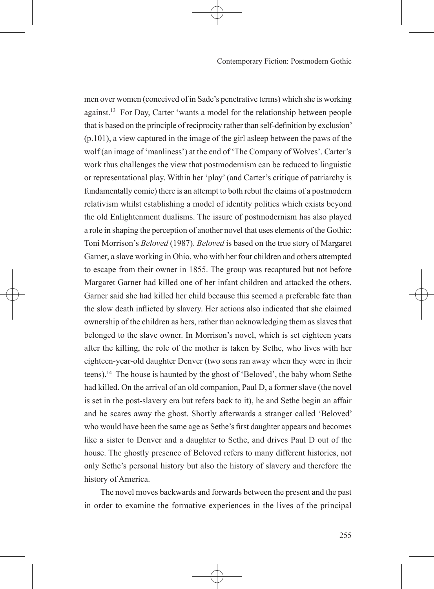men over women (conceived of in Sade's penetrative terms) which she is working against.<sup>13</sup> For Day, Carter 'wants a model for the relationship between people that is based on the principle of reciprocity rather than self-definition by exclusion' (p.101), a view captured in the image of the girl asleep between the paws of the wolf (an image of 'manliness') at the end of 'The Company of Wolves'. Carter's work thus challenges the view that postmodernism can be reduced to linguistic or representational play. Within her 'play' (and Carter's critique of patriarchy is fundamentally comic) there is an attempt to both rebut the claims of a postmodern relativism whilst establishing a model of identity politics which exists beyond the old Enlightenment dualisms. The issure of postmodernism has also played a role in shaping the perception of another novel that uses elements of the Gothic: Toni Morrison's *Beloved* (1987). *Beloved* is based on the true story of Margaret Garner, a slave working in Ohio, who with her four children and others attempted to escape from their owner in 1855. The group was recaptured but not before Margaret Garner had killed one of her infant children and attacked the others. Garner said she had killed her child because this seemed a preferable fate than the slow death inflicted by slavery. Her actions also indicated that she claimed ownership of the children as hers, rather than acknowledging them as slaves that belonged to the slave owner. In Morrison's novel, which is set eighteen years after the killing, the role of the mother is taken by Sethe, who lives with her eighteen-year-old daughter Denver (two sons ran away when they were in their teens).14 The house is haunted by the ghost of 'Beloved', the baby whom Sethe had killed. On the arrival of an old companion, Paul D, a former slave (the novel is set in the post-slavery era but refers back to it), he and Sethe begin an affair and he scares away the ghost. Shortly afterwards a stranger called 'Beloved' who would have been the same age as Sethe's first daughter appears and becomes like a sister to Denver and a daughter to Sethe, and drives Paul D out of the house. The ghostly presence of Beloved refers to many different histories, not only Sethe's personal history but also the history of slavery and therefore the history of America.

The novel moves backwards and forwards between the present and the past in order to examine the formative experiences in the lives of the principal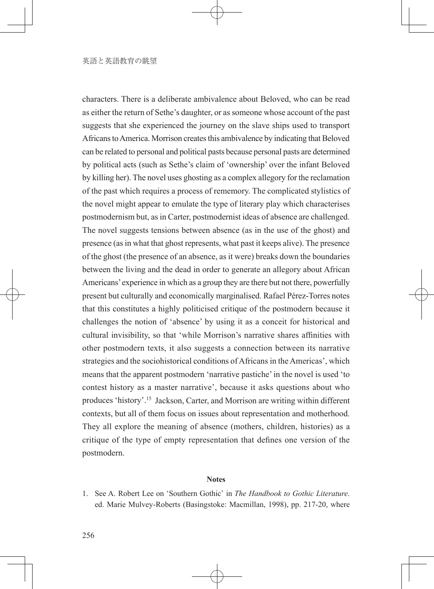characters. There is a deliberate ambivalence about Beloved, who can be read as either the return of Sethe's daughter, or as someone whose account of the past suggests that she experienced the journey on the slave ships used to transport Africans to America. Morrison creates this ambivalence by indicating that Beloved can be related to personal and political pasts because personal pasts are determined by political acts (such as Sethe's claim of 'ownership' over the infant Beloved by killing her). The novel uses ghosting as a complex allegory for the reclamation of the past which requires a process of rememory. The complicated stylistics of the novel might appear to emulate the type of literary play which characterises postmodernism but, as in Carter, postmodernist ideas of absence are challenged. The novel suggests tensions between absence (as in the use of the ghost) and presence (as in what that ghost represents, what past it keeps alive). The presence of the ghost (the presence of an absence, as it were) breaks down the boundaries between the living and the dead in order to generate an allegory about African Americans' experience in which as a group they are there but not there, powerfully present but culturally and economically marginalised. Rafael Pérez-Torres notes that this constitutes a highly politicised critique of the postmodern because it challenges the notion of 'absence' by using it as a conceit for historical and cultural invisibility, so that 'while Morrison's narrative shares affinities with other postmodern texts, it also suggests a connection between its narrative strategies and the sociohistorical conditions of Africans in the Americas', which means that the apparent postmodern 'narrative pastiche' in the novel is used 'to contest history as a master narrative', because it asks questions about who produces 'history'.15 Jackson, Carter, and Morrison are writing within different contexts, but all of them focus on issues about representation and motherhood. They all explore the meaning of absence (mothers, children, histories) as a critique of the type of empty representation that defines one version of the postmodern.

### **Notes**

1. See A. Robert Lee on 'Southern Gothic' in *The Handbook to Gothic Literature*. ed. Marie Mulvey-Roberts (Basingstoke: Macmillan, 1998), pp. 217-20, where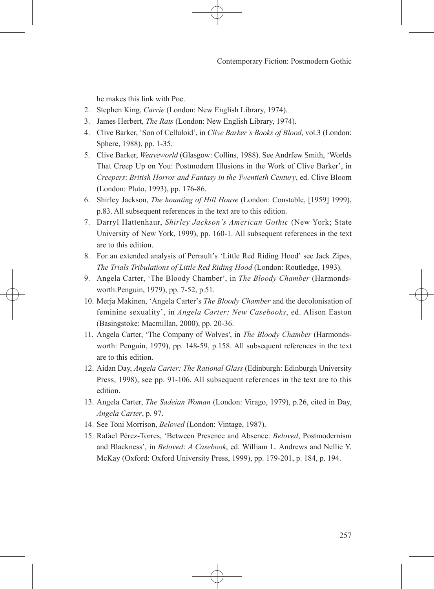he makes this link with Poe.

- 2. Stephen King, *Carrie* (London: New English Library, 1974).
- 3. James Herbert, *The Rats* (London: New English Library, 1974).
- 4. Clive Barker, 'Son of Celluloid', in *Clive Barker's Books of Blood*, vol.3 (London: Sphere, 1988), pp. 1-35.
- 5. Clive Barker, *Weaveworld* (Glasgow: Collins, 1988). See Andrfew Smith, 'Worlds That Creep Up on You: Postmodern Illusions in the Work of Clive Barker', in *Creepers*: *British Horror and Fantasy in the Twentieth Century*, ed. Clive Bloom (London: Pluto, 1993), pp. 176-86.
- 6. Shirley Jackson, *The hounting of Hill House* (London: Constable, [1959] 1999), p.83. All subsequent references in the text are to this edition.
- 7. Darryl Hattenhaur, *Shirley Jackson's American Gothic* (New York; State University of New York, 1999), pp. 160-1. All subsequent references in the text are to this edition.
- 8. For an extended analysis of Perrault's 'Little Red Riding Hood' see Jack Zipes, *The Trials Tribulations of Little Red Riding Hood* (London: Routledge, 1993).
- 9. Angela Carter, 'The Bloody Chamber', in *The Bloody Chamber* (Harmondsworth:Penguin, 1979), pp. 7-52, p.51.
- 10. Merja Makinen, 'Angela Carter's *The Bloody Chamber* and the decolonisation of feminine sexuality', in *Angela Carter: New Casebooks*, ed. Alison Easton (Basingstoke: Macmillan, 2000), pp. 20-36.
- 11. Angela Carter, 'The Company of Wolves', in *The Bloody Chamber* (Harmondsworth: Penguin, 1979), pp. 148-59, p.158. All subsequent references in the text are to this edition.
- 12. Aidan Day, *Angela Carter: The Rational Glass* (Edinburgh: Edinburgh University Press, 1998), see pp. 91-106. All subsequent references in the text are to this edition.
- 13. Angela Carter, *The Sadeian Woman* (London: Virago, 1979), p.26, cited in Day, *Angela Carter*, p. 97.
- 14. See Toni Morrison, *Beloved* (London: Vintage, 1987).
- 15. Rafael Pérez-Torres, 'Between Presence and Absence: *Beloved*, Postmodernism and Blackness', in *Beloved*: *A Casebook*, ed. William L. Andrews and Nellie Y. McKay (Oxford: Oxford University Press, 1999), pp. 179-201, p. 184, p. 194.